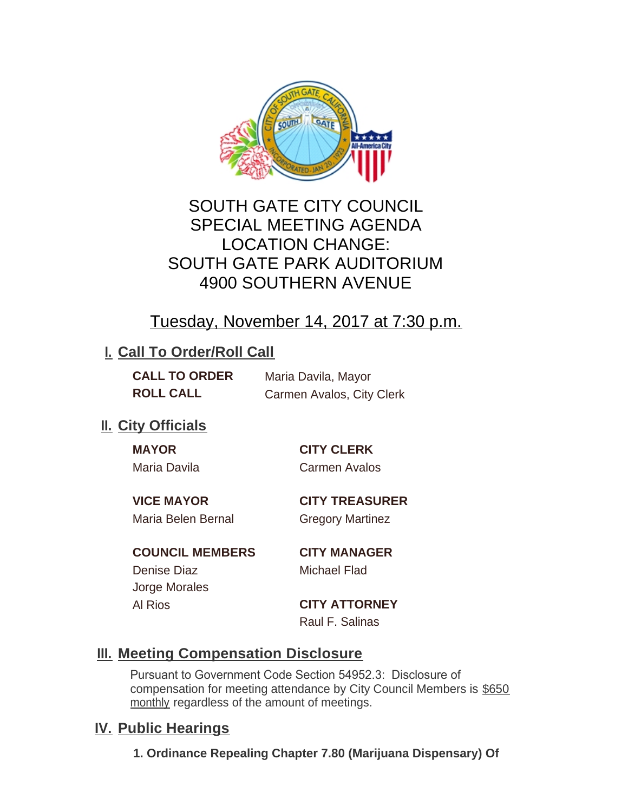

# SOUTH GATE CITY COUNCIL SPECIAL MEETING AGENDA LOCATION CHANGE: SOUTH GATE PARK AUDITORIUM 4900 SOUTHERN AVENUE

# Tuesday, November 14, 2017 at 7:30 p.m.

# **I. Call To Order/Roll Call**

| <b>CALL TO ORDER</b> | Maria Davila, Mayor       |
|----------------------|---------------------------|
| <b>ROLL CALL</b>     | Carmen Avalos, City Clerk |

# **II.** City Officials

| <b>MAYO</b><br>IΡ |
|-------------------|
|-------------------|

## **MAYOR CITY CLERK**

Maria Davila Carmen Avalos

**VICE MAYOR CITY TREASURER**

Maria Belen Bernal Gregory Martinez

**COUNCIL MEMBERS CITY MANAGER** Denise Diaz Michael Flad Jorge Morales Al Rios **CITY ATTORNEY**

# Raul F. Salinas

# **Meeting Compensation Disclosure III.**

Pursuant to Government Code Section 54952.3: Disclosure of compensation for meeting attendance by City Council Members is \$650 monthly regardless of the amount of meetings.

# **IV. Public Hearings**

**1. Ordinance Repealing Chapter 7.80 (Marijuana Dispensary) Of**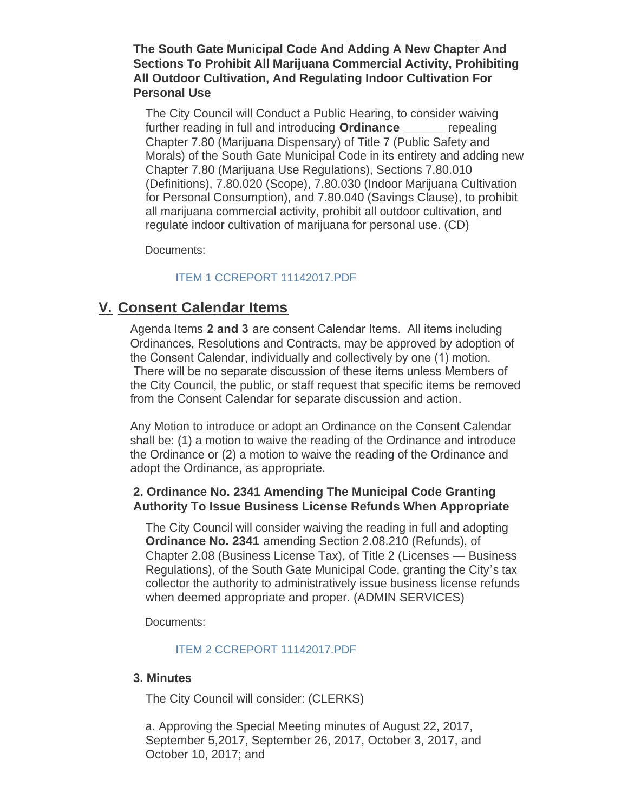**The South Gate Municipal Code And Adding A New Chapter And Sections To Prohibit All Marijuana Commercial Activity, Prohibiting All Outdoor Cultivation, And Regulating Indoor Cultivation For Personal Use**

**1. Ordinance Repealing Chapter 7.80 (Marijuana Dispensary) Of** 

The City Council will Conduct a Public Hearing, to consider waiving further reading in full and introducing **Ordinance \_\_\_\_\_\_** repealing Chapter 7.80 (Marijuana Dispensary) of Title 7 (Public Safety and Morals) of the South Gate Municipal Code in its entirety and adding new Chapter 7.80 (Marijuana Use Regulations), Sections 7.80.010 (Definitions), 7.80.020 (Scope), 7.80.030 (Indoor Marijuana Cultivation for Personal Consumption), and 7.80.040 (Savings Clause), to prohibit all marijuana commercial activity, prohibit all outdoor cultivation, and regulate indoor cultivation of marijuana for personal use. (CD)

Documents:

## [ITEM 1 CCREPORT 11142017.PDF](http://ca-southgate.civicplus.com/AgendaCenter/ViewFile/Item/5032?fileID=11029)

## **Consent Calendar Items V.**

Agenda Items **2 and 3** are consent Calendar Items. All items including Ordinances, Resolutions and Contracts, may be approved by adoption of the Consent Calendar, individually and collectively by one (1) motion. There will be no separate discussion of these items unless Members of the City Council, the public, or staff request that specific items be removed from the Consent Calendar for separate discussion and action.

Any Motion to introduce or adopt an Ordinance on the Consent Calendar shall be: (1) a motion to waive the reading of the Ordinance and introduce the Ordinance or (2) a motion to waive the reading of the Ordinance and adopt the Ordinance, as appropriate.

## **2. Ordinance No. 2341 Amending The Municipal Code Granting Authority To Issue Business License Refunds When Appropriate**

The City Council will consider waiving the reading in full and adopting **Ordinance No. 2341** amending Section 2.08.210 (Refunds), of Chapter 2.08 (Business License Tax), of Title 2 (Licenses — Business Regulations), of the South Gate Municipal Code, granting the City's tax collector the authority to administratively issue business license refunds when deemed appropriate and proper. (ADMIN SERVICES)

Documents:

### [ITEM 2 CCREPORT 11142017.PDF](http://ca-southgate.civicplus.com/AgendaCenter/ViewFile/Item/5033?fileID=11030)

### **3. Minutes**

The City Council will consider: (CLERKS)

a. Approving the Special Meeting minutes of August 22, 2017, September 5,2017, September 26, 2017, October 3, 2017, and October 10, 2017; and